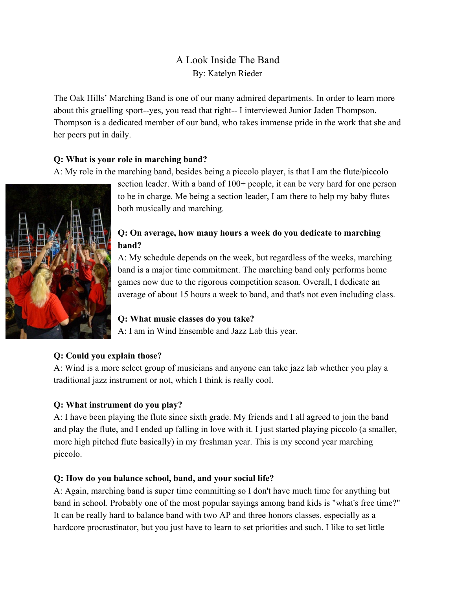# A Look Inside The Band By: Katelyn Rieder

The Oak Hills' Marching Band is one of our many admired departments. In order to learn more about this gruelling sport--yes, you read that right-- I interviewed Junior Jaden Thompson. Thompson is a dedicated member of our band, who takes immense pride in the work that she and her peers put in daily.

### **Q: What is your role in marching band?**

A: My role in the marching band, besides being a piccolo player, is that I am the flute/piccolo



section leader. With a band of 100+ people, it can be very hard for one person to be in charge. Me being a section leader, I am there to help my baby flutes both musically and marching.

## **Q: On average, how many hours a week do you dedicate to marching band?**

A: My schedule depends on the week, but regardless of the weeks, marching band is a major time commitment. The marching band only performs home games now due to the rigorous competition season. Overall, I dedicate an average of about 15 hours a week to band, and that's not even including class.

### **Q: What music classes do you take?**

A: I am in Wind Ensemble and Jazz Lab this year.

## **Q: Could you explain those?**

A: Wind is a more select group of musicians and anyone can take jazz lab whether you play a traditional jazz instrument or not, which I think is really cool.

### **Q: What instrument do you play?**

A: I have been playing the flute since sixth grade. My friends and I all agreed to join the band and play the flute, and I ended up falling in love with it. I just started playing piccolo (a smaller, more high pitched flute basically) in my freshman year. This is my second year marching piccolo.

### **Q: How do you balance school, band, and your social life?**

A: Again, marching band is super time committing so I don't have much time for anything but band in school. Probably one of the most popular sayings among band kids is "what's free time?" It can be really hard to balance band with two AP and three honors classes, especially as a hardcore procrastinator, but you just have to learn to set priorities and such. I like to set little